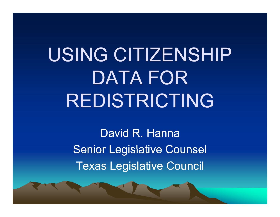# USING CITIZENSHIP DATA FOR REDISTRICTING

David R. HannaSenior Legislative Counsel Texas Legislative Council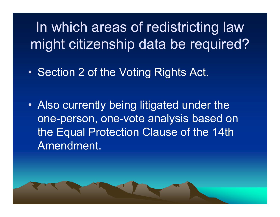In which areas of redistricting law might citizenship data be required?

•• Section 2 of the Voting Rights Act.

• Also currently being litigated under the one-person, one-vote analysis based on the Equal Protection Clause of the 14th Amendment.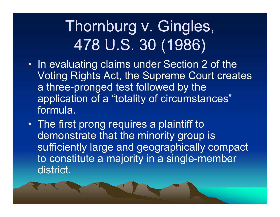## Thornburg v. Gingles, 478 U.S. 30 (1986)

- In evaluating claims under Section 2 of the Voting Rights Act, the Supreme Court creates a three-pronged test followed by the application of a "totality of circumstances" formula.
- The first prong requires a plaintiff to demonstrate that the minority group is sufficiently large and geographically compact to constitute a majority in a single-member district.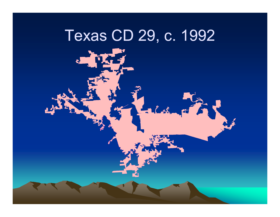### Texas CD 29, c. 1992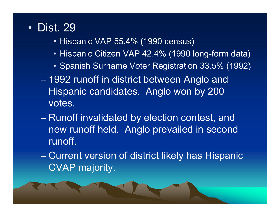#### • Dist. 29

- Hispanic VAP 55.4% (1990 census)
- Hispanic Citizen VAP 42.4% (1990 long-form data)
- $\bullet$  Spanish Surname Voter Registration 33.5% (1992)
- 1992 runoff in district between Anglo and Hispanic candidates. Anglo won by 200 votes.
- Runoff invalidated by election contest, and new runoff held. Anglo prevailed in second runoff.
- Current version of district likely has Hispanic CVAP majority.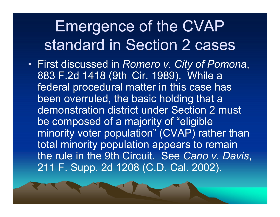### Emergence of the CVAP standard in Section 2 cases

• First discussed in *Romero v. City of Pomona v.* , 883 F.2d 1418 (9th Cir. 1989). While a federal procedural matter in this case has been overruled, the basic holding that a demonstration district under Section 2 must be composed of a majority of "eligible minority voter population" (CVAP) rather than total minority population appears to remain the rule in the 9th Circuit. See *Cano v. Davis*, 211 F. Supp. 2d 1208 (C.D. Cal. 2002).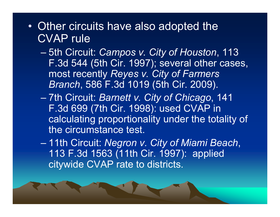- •• Other circuits have also adopted the CVAP rule
	- 5th Circuit: *Campos v. City of Houston*, 113 F.3d 544 (5th Cir. 1997); several other cases, most recently *Reyes v. City of Farmers Branch*, 586 F.3d 1019 (5th Cir. 2009).
	- 7th Ci it Circuit: *B tt Cit f Chi Barnett v. City o Chicago*, 141 F.3d 699 (7th Cir. 1998): used CVAP in calculating proportionality under the totality of the circumstance test.
	- 11th Circuit: *Negron v. City of Miami Beach*, 113 F.3d 1563 (11th Cir. 1997): applied citywide CVAP rate to districts.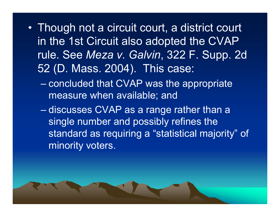- Though not a circuit court, a district court in the 1st Circuit also adopted the CVAP rule. See *Meza v. Galvin*, 322 F. Supp. 2d 52 (D. Mass. 2004). This case:
	- concluded that CVAP was the appropriate measure when available; and
	- discusses CVAP as a range rather than a single number and possibly refines the standard as requiring a "statistical majority" of minority voters.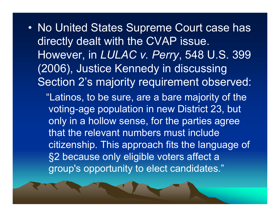•• No United States Supreme Court case has directly dealt with the CVAP issue. However, in *LULAC v. Perry*, 548 U.S. 399 (2006), Justice Kennedy in discussing Section 2's majority requirement observed: "Latinos, to be sure, are a bare majority of the voting-age population in new District 23, but only in a hollow sense, for the parties agree that the relevant numbers must include citizenship. This approach fits the language of §2 because only eligible voters affect a group's opportunity to elect candidates."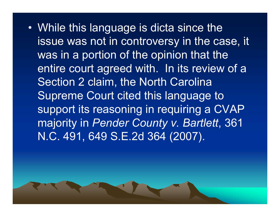• While this language is dicta since the issue was not in controversy in the case, it was in a portion of the opinion that the entire court agreed with. In its review of a Section 2 claim, the North Carolina Supreme Court cited this language to support its reasoning in requiring a CVAP majority in *Pender County <sup>v</sup> Bartlett v.* , 361 N.C. 491, 649 S.E.2d 364 (2007).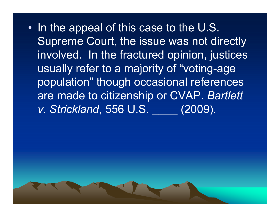•• In the appeal of this case to the U.S. Supreme Court, the issue was not directly involved. In the fractured opinion, justices usually refer to a majority of "voting-age population" though occasional references are made to citizenship or CVAP. Bartlett *v. Strickland*, 556 U.S. \_\_\_\_ (2009).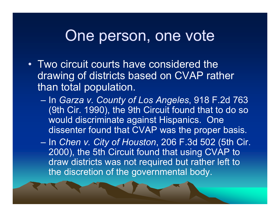#### One person, one vote

- Two circuit courts have considered the drawing of districts based on CVAP rather than total population.
	- $\sim$  In *Garza v. County of Los Angeles*, 918 F.2d 763 (9th Cir. 1990), the 9th Circuit found that to do so would discriminate against Hispanics. One dissenter found that CVAP was the proper basis.
	- $\mathcal{L}_{\mathcal{A}}$  In *Chen v. City of Houston*, 206 F.3d 502 (5th Cir. 2000), the 5th Circuit found that using CVAP to draw districts was not required but rather left to the discretion of the governmental body.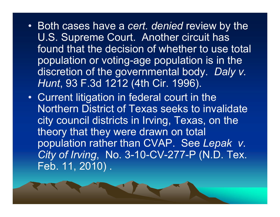- Both cases have a *cert. denied* review by the U.S. Supreme Court. Another circuit has found that the decision of whether to use total population or voting-age population is in the discretion of the governmental body. *Daly v. Hunt*, 93 F.3d 1212 (4th Cir. 1996).
- Current litigation in federal court in the Northern District of Texas seeks to invalidate city council districts in Irving, Texas, on the theory that they were drawn on total population rather than CVAP. See *Lepak <sup>v</sup>*. *City of Irving*, No. 3-10-CV-277-P (N.D. Tex. Feb. 11, 2010) .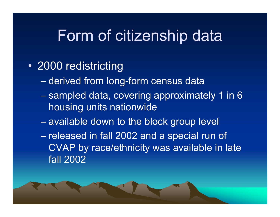#### Form of citizenship data

- 2000 redistricting
	- derived from long-form census data
	- sampled data, covering approximately 1 in 6  $\,$ housing units nationwide
	- available down to the block group level
	- released in fall 2002 and a special run of CVAP by race/ethnicity was available in late fall 2002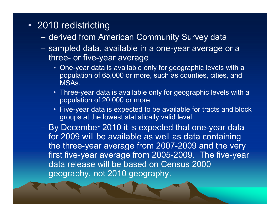- 2010 redistricting
	- derived from American Community Survey data
	- – sampled data, available in a one-year average or a three- or five-year average
		- One-year data is available only for geographic levels with a population of 65,000 or more, such as counties, cities, and MSAs.
		- $\bullet~$  Three-year data is available only for geographic levels with a population of 20,000 or more.
		- Five-year data is expected to be available for tracts and block groups at the lowest statistically valid level.

 By December 2010 it is expected that one-year data for 2009 will be available as well as data containing the three-year average from 2007-2009 and the very first five-year average from 2005-2009. The five-year data release will be based on Census 2000 geography, not 2010 geography.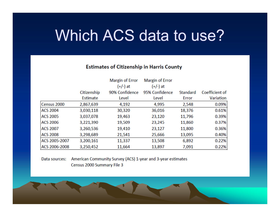#### Which ACS data to use?

#### **Estimates of Citizenship in Harris County**

|                 |             | Margin of Error | Margin of Error |          |                |
|-----------------|-------------|-----------------|-----------------|----------|----------------|
|                 |             | (+/-) at        | (+/-) at        |          |                |
|                 | Citizenship | 90% Confidence  | 95% Confidence  | Standard | Coefficient of |
|                 | Estimate    | Level           | Level           | Error    | Variation      |
| Census 2000     | 2,867,639   | 4,192           | 4,995           | 2,548    | 0.09%          |
| <b>ACS 2004</b> | 3,030,118   | 30,320          | 36,016          | 18,376   | 0.61%          |
| <b>ACS 2005</b> | 3,037,078   | 19,463          | 23,120          | 11,796   | 0.39%          |
| <b>ACS 2006</b> | 3,221,390   | 19,509          | 23,245          | 11,860   | 0.37%          |
| <b>ACS 2007</b> | 3,260,536   | 19,410          | 23,127          | 11,800   | 0.36%          |
| <b>ACS 2008</b> | 3,298,689   | 21,541          | 25,666          | 13,095   | 0.40%          |
| ACS 2005-2007   | 3,200,161   | 11,337          | 13,508          | 6,892    | 0.22%          |
| ACS 2006-2008   | 3,250,452   | 11,664          | 13,897          | 7,091    | 0.22%          |

#### American Community Survey (ACS) 1-year and 3-year estimates Data sources: Census 2000 Summary File 3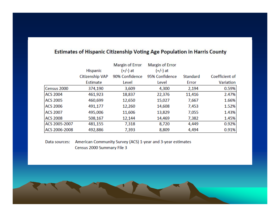|  | Estimates of Hispanic Citizenship Voting Age Population in Harris County |  |
|--|--------------------------------------------------------------------------|--|
|--|--------------------------------------------------------------------------|--|

|                 |                 | Margin of Error | Margin of Error |          |                |
|-----------------|-----------------|-----------------|-----------------|----------|----------------|
|                 | Hispanic        | (+/-) at        | (+/-) at        |          |                |
|                 | Citizenship VAP | 90% Confidence  | 95% Confidence  | Standard | Coefficient of |
|                 | Estimate        | Level           | Level           | Error    | Variation      |
| Census 2000     | 374,190         | 3,609           | 4,300           | 2,194    | 0.59%          |
| <b>ACS 2004</b> | 461,923         | 18,837          | 22,376          | 11,416   | 2.47%          |
| <b>ACS 2005</b> | 460,699         | 12,650          | 15,027          | 7,667    | 1.66%          |
| <b>ACS 2006</b> | 491,177         | 12,260          | 14,608          | 7,453    | 1.52%          |
| <b>ACS 2007</b> | 495,006         | 11,606          | 13,829          | 7,055    | 1.43%          |
| <b>ACS 2008</b> | 508,167         | 12,144          | 14,469          | 7,382    | 1.45%          |
| ACS 2005-2007   | 481,155         | 7,318           | 8,720           | 4,449    | 0.92%          |
| ACS 2006-2008   | 492,886         | 7,393           | 8,809           | 4,494    | 0.91%          |

Data sources: American Community Survey (ACS) 1-year and 3-year estimates Census 2000 Summary File 3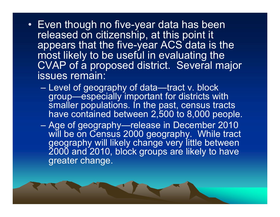- Even though no five-year data has been released on citizenship, at this point it appears that the five-year ACS data is the most likely to be useful in evaluating the CVAP of a proposed district. Several major issues remain:
	- $\mathcal{L}_{\mathcal{A}}$  Level of geography of data—tract v. block group—especially important for districts with smaller populations. In the past, census tracts have contained between 2,500 to 8,000 people.

 $\mathcal{L}_{\mathcal{A}}$ – Age of geography—release in December 2010 will be on Census 2000 geography. While tract geography will likely change very little between 2000 and 2010, block groups are likely to have greater change.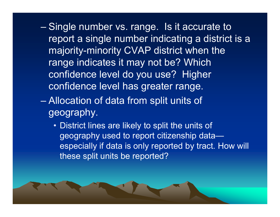- Single number vs. range. Is it accurate to report <sup>a</sup> single number indicating <sup>a</sup> district is <sup>a</sup> majority-minority CVAP district when the range indicates it may not be? Which confidence level do you use? Higher confidence level has greater range.
- Allocation of data from split units of geography.
	- District lines are likely to split the units of geography used to report citizenship data especially if data is only reported by tract. How will these split units be reported?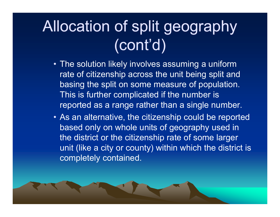## Allocation of split geography  $\overline{\text{(cont'}}$ d)

- The solution likely involves assuming a uniform rate of citizenship across the unit being split and basing the split on some measure of population. This is further complicated if the number is reported as a range rather than a single number.
- As an alternative, the citizenship could be reported based only on whole units of geography used in the district or the citizenship rate of some larger unit (like a city or county) within which the district is completely contained.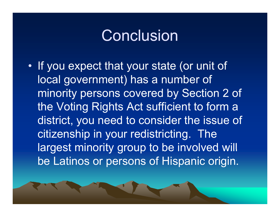#### Conclusion

•• If you expect that your state (or unit of local government) has a number of minority persons covered by Section 2 of the Voting Rights Act sufficient to form a district, you need to consider the issue of citizenship in your redistricting. The largest minority group to be involved will be Latinos or persons of Hispanic origin.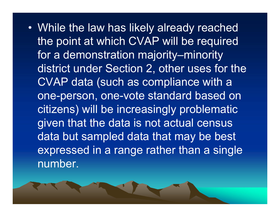• While the law has likely already reached the point at which CVAP will be required for a demonstration majority–minority district under Section 2, other uses for the CVAP data (such as compliance with a one-person, one-vote standard based on citizens) will be increasingly problematic given that the data is not actual census data but sampled data that may be best expressed in a range rather than a single number.